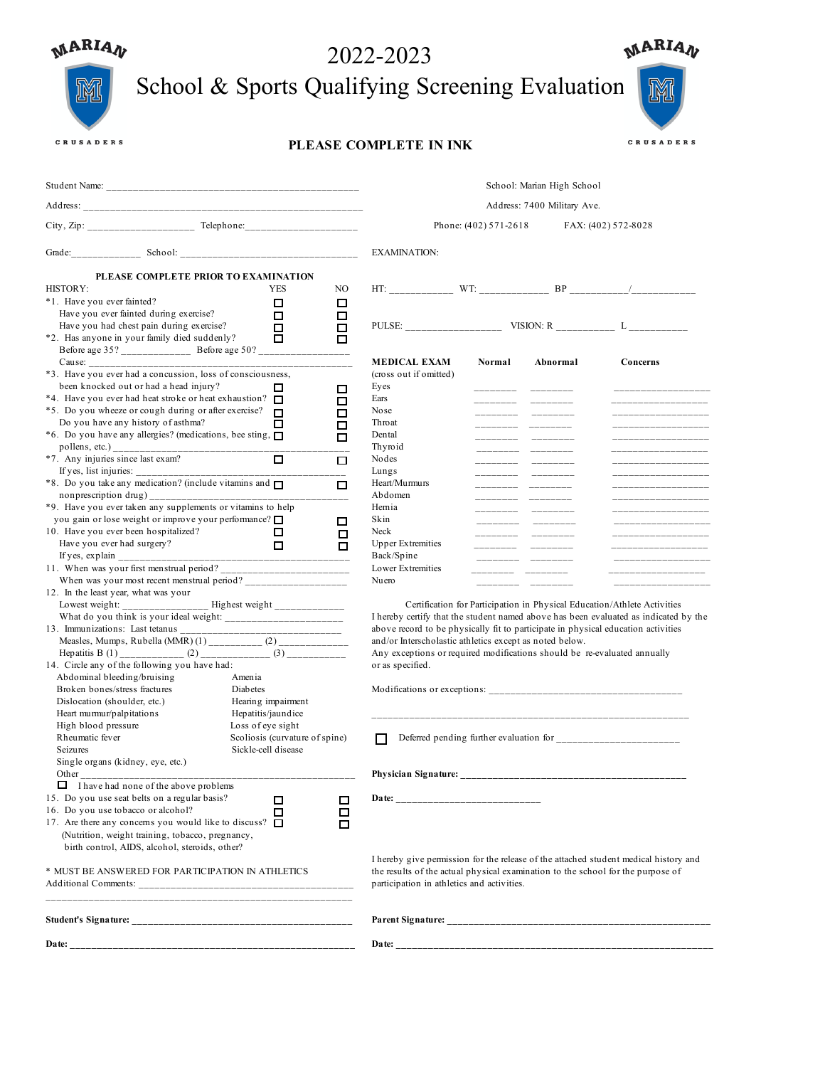| <b>MARIAN</b>                                                                                                                                                                                                                           | 2022-2023                                                                                                                                                                                                                                                                                                                                                                                                                                                                                                                                                                                                                                                                                                                                                         |                                                                                        |                                                                |                                                                                                                                                                                                                                                                                                                              |                       | <b>MARIAN</b>               |                                                                                                                                                                                                                                                                          |
|-----------------------------------------------------------------------------------------------------------------------------------------------------------------------------------------------------------------------------------------|-------------------------------------------------------------------------------------------------------------------------------------------------------------------------------------------------------------------------------------------------------------------------------------------------------------------------------------------------------------------------------------------------------------------------------------------------------------------------------------------------------------------------------------------------------------------------------------------------------------------------------------------------------------------------------------------------------------------------------------------------------------------|----------------------------------------------------------------------------------------|----------------------------------------------------------------|------------------------------------------------------------------------------------------------------------------------------------------------------------------------------------------------------------------------------------------------------------------------------------------------------------------------------|-----------------------|-----------------------------|--------------------------------------------------------------------------------------------------------------------------------------------------------------------------------------------------------------------------------------------------------------------------|
|                                                                                                                                                                                                                                         | School & Sports Qualifying Screening Evaluation                                                                                                                                                                                                                                                                                                                                                                                                                                                                                                                                                                                                                                                                                                                   |                                                                                        |                                                                |                                                                                                                                                                                                                                                                                                                              |                       |                             |                                                                                                                                                                                                                                                                          |
| CRUSADERS                                                                                                                                                                                                                               |                                                                                                                                                                                                                                                                                                                                                                                                                                                                                                                                                                                                                                                                                                                                                                   |                                                                                        |                                                                | PLEASE COMPLETE IN INK                                                                                                                                                                                                                                                                                                       |                       |                             | CRUSADERS                                                                                                                                                                                                                                                                |
|                                                                                                                                                                                                                                         |                                                                                                                                                                                                                                                                                                                                                                                                                                                                                                                                                                                                                                                                                                                                                                   |                                                                                        |                                                                |                                                                                                                                                                                                                                                                                                                              |                       | School: Marian High School  |                                                                                                                                                                                                                                                                          |
|                                                                                                                                                                                                                                         |                                                                                                                                                                                                                                                                                                                                                                                                                                                                                                                                                                                                                                                                                                                                                                   |                                                                                        |                                                                |                                                                                                                                                                                                                                                                                                                              |                       | Address: 7400 Military Ave. |                                                                                                                                                                                                                                                                          |
|                                                                                                                                                                                                                                         |                                                                                                                                                                                                                                                                                                                                                                                                                                                                                                                                                                                                                                                                                                                                                                   |                                                                                        |                                                                |                                                                                                                                                                                                                                                                                                                              | Phone: (402) 571-2618 |                             | FAX: (402) 572-8028                                                                                                                                                                                                                                                      |
|                                                                                                                                                                                                                                         |                                                                                                                                                                                                                                                                                                                                                                                                                                                                                                                                                                                                                                                                                                                                                                   |                                                                                        |                                                                | <b>EXAMINATION:</b>                                                                                                                                                                                                                                                                                                          |                       |                             |                                                                                                                                                                                                                                                                          |
| <b>HISTORY:</b><br>*1. Have you ever fainted?<br>Do you have any history of asthma?<br>*7. Any injuries since last exam?<br>If yes, list injuries: _________                                                                            | PLEASE COMPLETE PRIOR TO EXAMINATION<br>Have you ever fainted during exercise?<br>Have you had chest pain during exercise?<br>*2. Has anyone in your family died suddenly?<br>Before age 35? ______________ Before age 50? ____________<br>*3. Have you ever had a concussion, loss of consciousness,<br>been knocked out or had a head injury?<br>*4. Have you ever had heat stroke or heat exhaustion? $\square$<br>*5. Do you wheeze or cough during or after exercise?<br>*6. Do you have any allergies? (medications, bee sting, $\Box$<br>*8. Do you take any medication? (include vitamins and $\square$<br>nonprescription drug)<br>*9. Have you ever taken any supplements or vitamins to help<br>you gain or lose weight or improve your performance? □ | <b>YES</b><br>□<br>□<br>□<br>□<br>□<br>$\Box$<br>□<br>□                                | NO<br>□<br>□<br>□<br>п<br>□<br>□<br>□<br>◻<br>□<br>□<br>□<br>□ | PULSE: $\qquad \qquad \text{VISION: R} \qquad \qquad \text{L} \qquad \qquad$<br><b>MEDICAL EXAM</b><br>(cross out if omitted)<br>Eyes<br>Ears<br>Nose<br>Throat<br>Dental<br>Thyroid<br>Nodes<br>Lungs<br>Heart/Murmurs<br>Abdomen<br>Hernia<br>Skin                                                                         | Normal                | Abnormal                    | Concerns<br>________________<br>_____________________<br>__________________________<br>___________________<br>___________________<br>___________________<br>__________________<br>_____________________<br>___________________<br>___________________<br>_______________ |
| 10. Have you ever been hospitalized?<br>Have you ever had surgery?<br>12. In the least year, what was your<br>Abdominal bleeding/bruising<br>Broken bones/stress fractures<br>Dislocation (shoulder, etc.)<br>Heart murmur/palpitations | Lowest weight: ________________ Highest weight ______________<br>Measles, Mumps, Rubella (MMR) $(1)$ ____________ $(2)$ _________<br>Hepatitis B (1) _____________ (2) _____________ (3) _____________<br>14. Circle any of the following you have had:<br>Amenia<br>Diabetes                                                                                                                                                                                                                                                                                                                                                                                                                                                                                     | □<br>□<br>________________________________<br>Hearing impairment<br>Hepatitis/jaundice | □<br>п                                                         | Neck<br><b>Upper Extremities</b><br>Back/Spine<br>Lower Extremities<br>Nuero<br>above record to be physically fit to participate in physical education activities<br>and/or Interscholastic athletics except as noted below.<br>Any exceptions or required modifications should be re-evaluated annually<br>or as specified. |                       |                             | ___________________<br>__________________<br>_________________<br>_____________________<br>Certification for Participation in Physical Education/Athlete Activities<br>I hereby certify that the student named above has been evaluated as indicated by the              |
| High blood pressure<br>Rheumatic fever<br>Seizures<br>Single organs (kidney, eye, etc.)                                                                                                                                                 |                                                                                                                                                                                                                                                                                                                                                                                                                                                                                                                                                                                                                                                                                                                                                                   | Loss of eye sight<br>Scoliosis (curvature of spine)<br>Sickle-cell disease             |                                                                | ΙI                                                                                                                                                                                                                                                                                                                           |                       |                             |                                                                                                                                                                                                                                                                          |
| 16. Do you use tobacco or alcohol?                                                                                                                                                                                                      | $\Box$ I have had none of the above problems<br>15. Do you use seat belts on a regular basis?<br>17. Are there any concerns you would like to discuss? $\Box$<br>(Nutrition, weight training, tobacco, pregnancy,<br>birth control, AIDS, alcohol, steroids, other?<br>* MUST BE ANSWERED FOR PARTICIPATION IN ATHLETICS                                                                                                                                                                                                                                                                                                                                                                                                                                          | □<br>□                                                                                 | □<br>□<br>□                                                    | the results of the actual physical examination to the school for the purpose of<br>participation in athletics and activities.                                                                                                                                                                                                |                       |                             | I hereby give permission for the release of the attached student medical history and                                                                                                                                                                                     |
|                                                                                                                                                                                                                                         |                                                                                                                                                                                                                                                                                                                                                                                                                                                                                                                                                                                                                                                                                                                                                                   |                                                                                        |                                                                |                                                                                                                                                                                                                                                                                                                              |                       |                             |                                                                                                                                                                                                                                                                          |
|                                                                                                                                                                                                                                         |                                                                                                                                                                                                                                                                                                                                                                                                                                                                                                                                                                                                                                                                                                                                                                   |                                                                                        |                                                                |                                                                                                                                                                                                                                                                                                                              |                       |                             |                                                                                                                                                                                                                                                                          |
|                                                                                                                                                                                                                                         |                                                                                                                                                                                                                                                                                                                                                                                                                                                                                                                                                                                                                                                                                                                                                                   |                                                                                        |                                                                |                                                                                                                                                                                                                                                                                                                              |                       |                             |                                                                                                                                                                                                                                                                          |